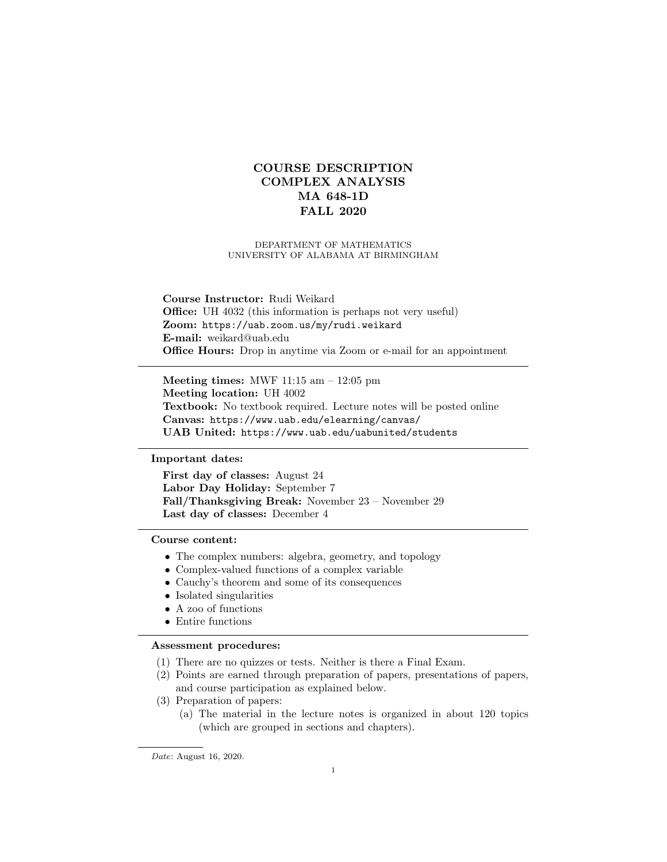# COURSE DESCRIPTION COMPLEX ANALYSIS MA 648-1D FALL 2020

## DEPARTMENT OF MATHEMATICS UNIVERSITY OF ALABAMA AT BIRMINGHAM

Course Instructor: Rudi Weikard Office: UH 4032 (this information is perhaps not very useful) Zoom: https://uab.zoom.us/my/rudi.weikard E-mail: weikard@uab.edu Office Hours: Drop in anytime via Zoom or e-mail for an appointment

Meeting times: MWF 11:15 am – 12:05 pm Meeting location: UH 4002 Textbook: No textbook required. Lecture notes will be posted online Canvas: https://www.uab.edu/elearning/canvas/ UAB United: https://www.uab.edu/uabunited/students

## Important dates:

First day of classes: August 24 Labor Day Holiday: September 7 Fall/Thanksgiving Break: November 23 – November 29 Last day of classes: December 4

# Course content:

- The complex numbers: algebra, geometry, and topology
- Complex-valued functions of a complex variable
- Cauchy's theorem and some of its consequences
- Isolated singularities
- A zoo of functions
- Entire functions

### Assessment procedures:

- (1) There are no quizzes or tests. Neither is there a Final Exam.
- (2) Points are earned through preparation of papers, presentations of papers, and course participation as explained below.
- (3) Preparation of papers:
	- (a) The material in the lecture notes is organized in about 120 topics (which are grouped in sections and chapters).

Date: August 16, 2020.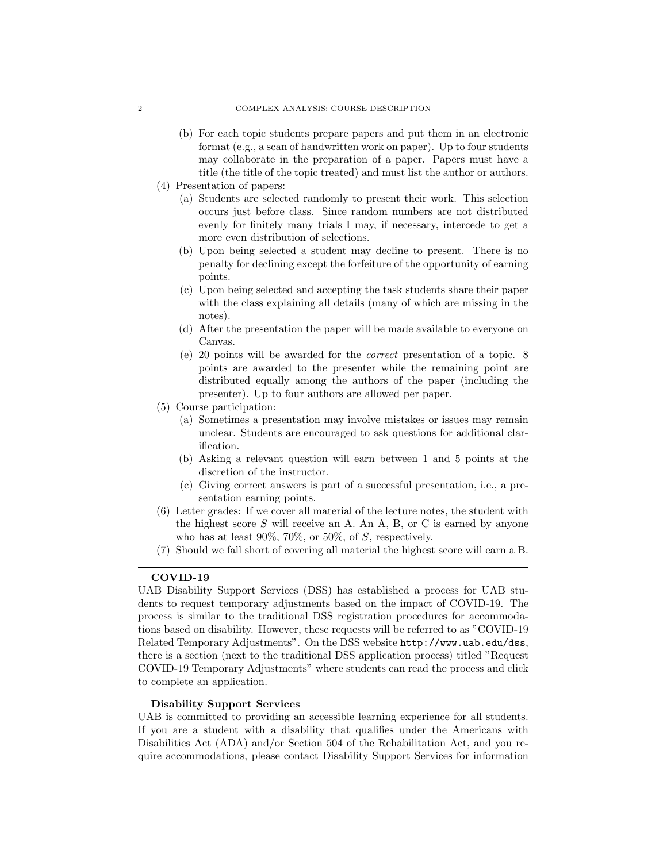- (b) For each topic students prepare papers and put them in an electronic format (e.g., a scan of handwritten work on paper). Up to four students may collaborate in the preparation of a paper. Papers must have a title (the title of the topic treated) and must list the author or authors.
- (4) Presentation of papers:
	- (a) Students are selected randomly to present their work. This selection occurs just before class. Since random numbers are not distributed evenly for finitely many trials I may, if necessary, intercede to get a more even distribution of selections.
	- (b) Upon being selected a student may decline to present. There is no penalty for declining except the forfeiture of the opportunity of earning points.
	- (c) Upon being selected and accepting the task students share their paper with the class explaining all details (many of which are missing in the notes).
	- (d) After the presentation the paper will be made available to everyone on Canvas.
	- (e) 20 points will be awarded for the correct presentation of a topic. 8 points are awarded to the presenter while the remaining point are distributed equally among the authors of the paper (including the presenter). Up to four authors are allowed per paper.
- (5) Course participation:
	- (a) Sometimes a presentation may involve mistakes or issues may remain unclear. Students are encouraged to ask questions for additional clarification.
	- (b) Asking a relevant question will earn between 1 and 5 points at the discretion of the instructor.
	- (c) Giving correct answers is part of a successful presentation, i.e., a presentation earning points.
- (6) Letter grades: If we cover all material of the lecture notes, the student with the highest score  $S$  will receive an A. An A, B, or C is earned by anyone who has at least  $90\%$ ,  $70\%$ , or  $50\%$ , of S, respectively.
- (7) Should we fall short of covering all material the highest score will earn a B.

## COVID-19

UAB Disability Support Services (DSS) has established a process for UAB students to request temporary adjustments based on the impact of COVID-19. The process is similar to the traditional DSS registration procedures for accommodations based on disability. However, these requests will be referred to as "COVID-19 Related Temporary Adjustments". On the DSS website http://www.uab.edu/dss, there is a section (next to the traditional DSS application process) titled "Request COVID-19 Temporary Adjustments" where students can read the process and click to complete an application.

## Disability Support Services

UAB is committed to providing an accessible learning experience for all students. If you are a student with a disability that qualifies under the Americans with Disabilities Act (ADA) and/or Section 504 of the Rehabilitation Act, and you require accommodations, please contact Disability Support Services for information